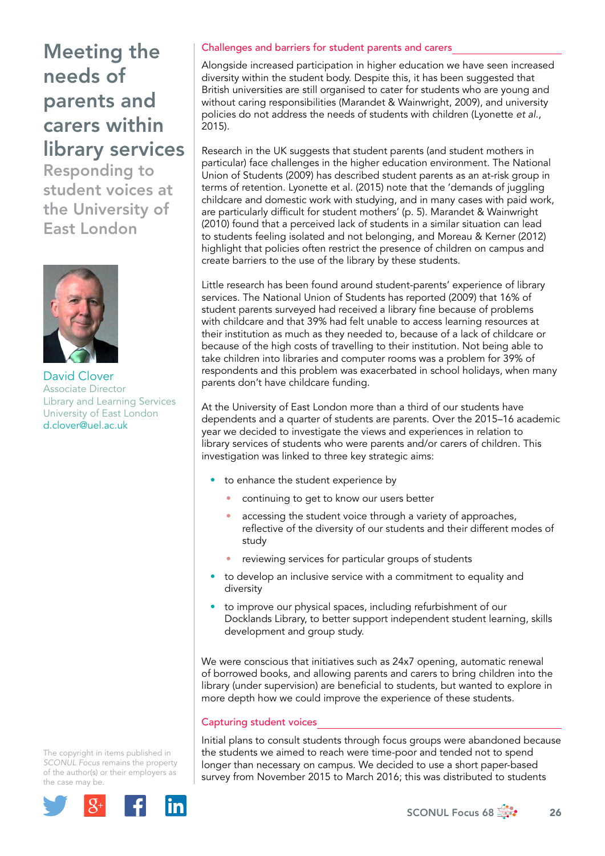Responding to student voices at the University of East London



David Clover Associate Director Library and Learning Services University of East London [d.clover@uel.ac.uk](mailto:d.clover@uel.ac.uk) 

The copyright in items published in *SCONUL Focus* remains the property of the author(s) or their employers as the case may be.



## Challenges and barriers for student parents and carers

Alongside increased participation in higher education we have seen increased diversity within the student body. Despite this, it has been suggested that British universities are still organised to cater for students who are young and without caring responsibilities (Marandet & Wainwright, 2009), and university policies do not address the needs of students with children (Lyonette *et al*., 2015).

Research in the UK suggests that student parents (and student mothers in particular) face challenges in the higher education environment. The National Union of Students (2009) has described student parents as an at-risk group in terms of retention. Lyonette et al. (2015) note that the 'demands of juggling childcare and domestic work with studying, and in many cases with paid work, are particularly difficult for student mothers' (p. 5). Marandet & Wainwright (2010) found that a perceived lack of students in a similar situation can lead to students feeling isolated and not belonging, and Moreau & Kerner (2012) highlight that policies often restrict the presence of children on campus and create barriers to the use of the library by these students.

Little research has been found around student-parents' experience of library services. The National Union of Students has reported (2009) that 16% of student parents surveyed had received a library fine because of problems with childcare and that 39% had felt unable to access learning resources at their institution as much as they needed to, because of a lack of childcare or because of the high costs of travelling to their institution. Not being able to take children into libraries and computer rooms was a problem for 39% of respondents and this problem was exacerbated in school holidays, when many parents don't have childcare funding.

At the University of East London more than a third of our students have dependents and a quarter of students are parents. Over the 2015–16 academic year we decided to investigate the views and experiences in relation to library services of students who were parents and/or carers of children. This investigation was linked to three key strategic aims:

- to enhance the student experience by
	- continuing to get to know our users better
	- accessing the student voice through a variety of approaches, reflective of the diversity of our students and their different modes of study
	- reviewing services for particular groups of students
- to develop an inclusive service with a commitment to equality and diversity
- to improve our physical spaces, including refurbishment of our Docklands Library, to better support independent student learning, skills development and group study.

We were conscious that initiatives such as 24x7 opening, automatic renewal of borrowed books, and allowing parents and carers to bring children into the library (under supervision) are beneficial to students, but wanted to explore in more depth how we could improve the experience of these students.

## Capturing student voices

Initial plans to consult students through focus groups were abandoned because the students we aimed to reach were time-poor and tended not to spend longer than necessary on campus. We decided to use a short paper-based survey from November 2015 to March 2016; this was distributed to students

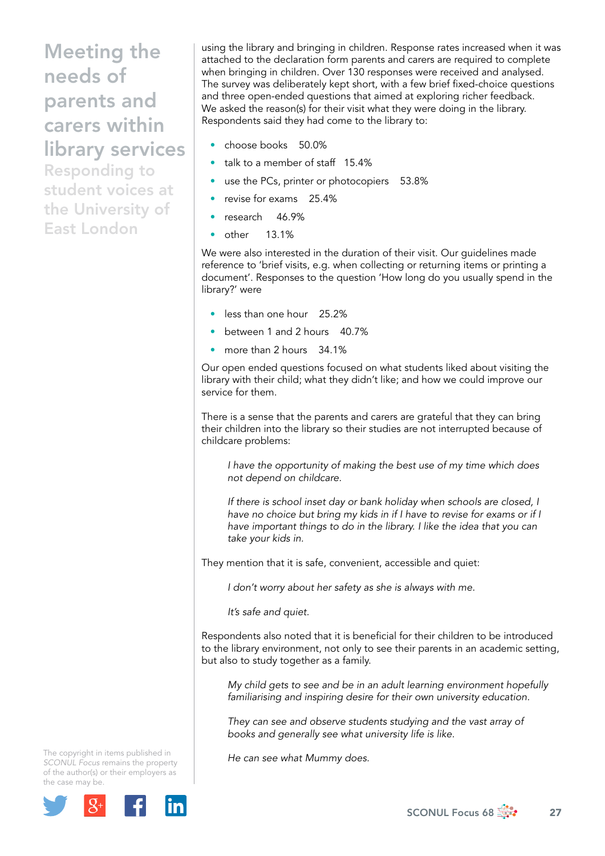Responding to student voices at the University of East London

using the library and bringing in children. Response rates increased when it was attached to the declaration form parents and carers are required to complete when bringing in children. Over 130 responses were received and analysed. The survey was deliberately kept short, with a few brief fixed-choice questions and three open-ended questions that aimed at exploring richer feedback. We asked the reason(s) for their visit what they were doing in the library. Respondents said they had come to the library to:

- choose books 50.0%
- talk to a member of staff 15.4%
- use the PCs, printer or photocopiers 53.8%
- revise for exams 25.4%
- research 46.9%
- other 13.1%

We were also interested in the duration of their visit. Our guidelines made reference to 'brief visits, e.g. when collecting or returning items or printing a document'. Responses to the question 'How long do you usually spend in the library?' were

- less than one hour 25.2%
- between 1 and 2 hours 40.7%
- more than 2 hours 34.1%

Our open ended questions focused on what students liked about visiting the library with their child; what they didn't like; and how we could improve our service for them.

There is a sense that the parents and carers are grateful that they can bring their children into the library so their studies are not interrupted because of childcare problems:

*I have the opportunity of making the best use of my time which does not depend on childcare.* 

*If there is school inset day or bank holiday when schools are closed, I have no choice but bring my kids in if I have to revise for exams or if I have important things to do in the library. I like the idea that you can take your kids in.* 

They mention that it is safe, convenient, accessible and quiet:

*I don't worry about her safety as she is always with me.* 

*It's safe and quiet.* 

Respondents also noted that it is beneficial for their children to be introduced to the library environment, not only to see their parents in an academic setting, but also to study together as a family.

*My child gets to see and be in an adult learning environment hopefully familiarising and inspiring desire for their own university education.* 

*They can see and observe students studying and the vast array of books and generally see what university life is like.* 

*He can see what Mummy does.*

The copyright in items published in *SCONUL Focus* remains the property of the author(s) or their employers as the case may be.

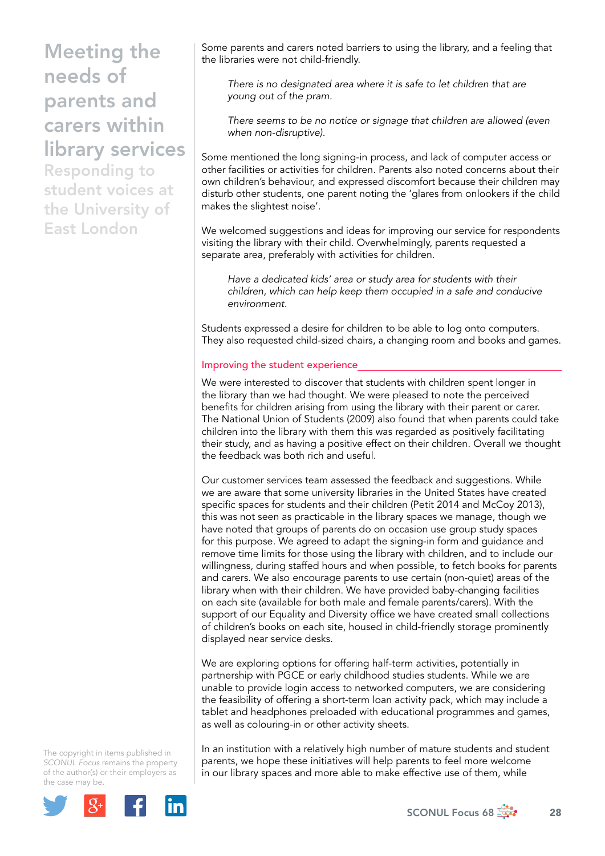Responding to student voices at the University of East London

Some parents and carers noted barriers to using the library, and a feeling that the libraries were not child-friendly.

*There is no designated area where it is safe to let children that are young out of the pram.* 

*There seems to be no notice or signage that children are allowed (even when non-disruptive).*

Some mentioned the long signing-in process, and lack of computer access or other facilities or activities for children. Parents also noted concerns about their own children's behaviour, and expressed discomfort because their children may disturb other students, one parent noting the 'glares from onlookers if the child makes the slightest noise'.

We welcomed suggestions and ideas for improving our service for respondents visiting the library with their child. Overwhelmingly, parents requested a separate area, preferably with activities for children.

*Have a dedicated kids' area or study area for students with their children, which can help keep them occupied in a safe and conducive environment.* 

Students expressed a desire for children to be able to log onto computers. They also requested child-sized chairs, a changing room and books and games.

## Improving the student experience

We were interested to discover that students with children spent longer in the library than we had thought. We were pleased to note the perceived benefits for children arising from using the library with their parent or carer. The National Union of Students (2009) also found that when parents could take children into the library with them this was regarded as positively facilitating their study, and as having a positive effect on their children. Overall we thought the feedback was both rich and useful.

Our customer services team assessed the feedback and suggestions. While we are aware that some university libraries in the United States have created specific spaces for students and their children (Petit 2014 and McCoy 2013), this was not seen as practicable in the library spaces we manage, though we have noted that groups of parents do on occasion use group study spaces for this purpose. We agreed to adapt the signing-in form and guidance and remove time limits for those using the library with children, and to include our willingness, during staffed hours and when possible, to fetch books for parents and carers. We also encourage parents to use certain (non-quiet) areas of the library when with their children. We have provided baby-changing facilities on each site (available for both male and female parents/carers). With the support of our Equality and Diversity office we have created small collections of children's books on each site, housed in child-friendly storage prominently displayed near service desks.

We are exploring options for offering half-term activities, potentially in partnership with PGCE or early childhood studies students. While we are unable to provide login access to networked computers, we are considering the feasibility of offering a short-term loan activity pack, which may include a tablet and headphones preloaded with educational programmes and games, as well as colouring-in or other activity sheets.

The copyright in items published in *SCONUL Focus* remains the property of the author(s) or their employers as the case may be.



In an institution with a relatively high number of mature students and student parents, we hope these initiatives will help parents to feel more welcome in our library spaces and more able to make effective use of them, while